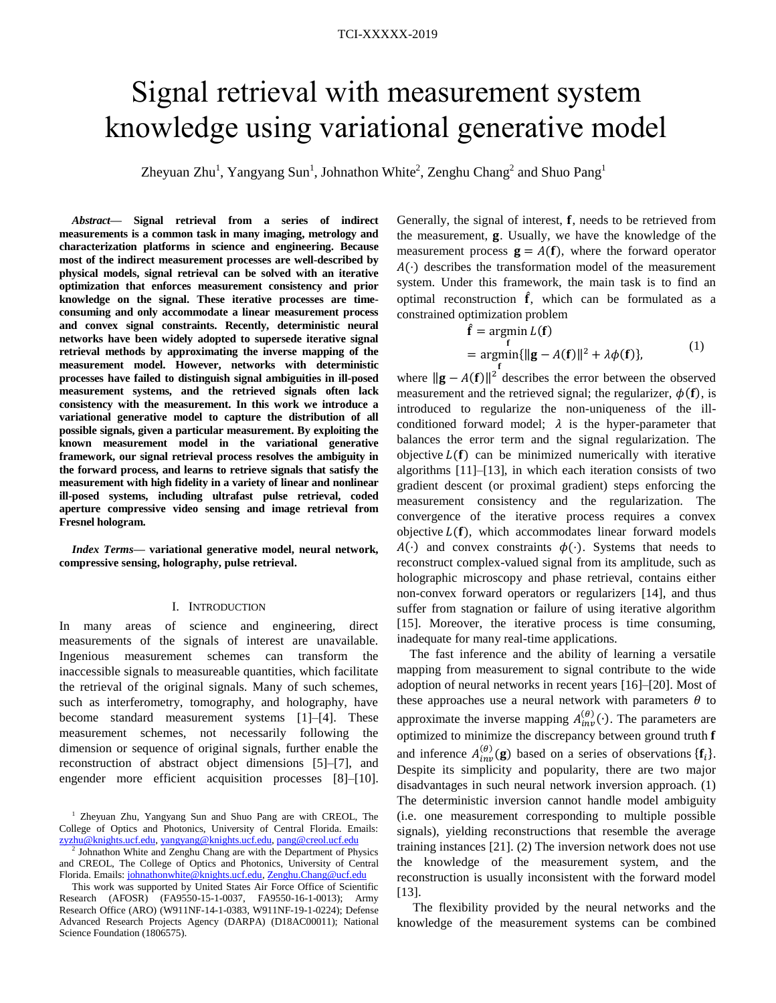# Signal retrieval with measurement system knowledge using variational generative model

Zheyuan Zhu<sup>1</sup>, Yangyang Sun<sup>1</sup>, Johnathon White<sup>2</sup>, Zenghu Chang<sup>2</sup> and Shuo Pang<sup>1</sup>

*Abstract***— Signal retrieval from a series of indirect measurements is a common task in many imaging, metrology and characterization platforms in science and engineering. Because most of the indirect measurement processes are well-described by physical models, signal retrieval can be solved with an iterative optimization that enforces measurement consistency and prior knowledge on the signal. These iterative processes are timeconsuming and only accommodate a linear measurement process and convex signal constraints. Recently, deterministic neural networks have been widely adopted to supersede iterative signal retrieval methods by approximating the inverse mapping of the measurement model. However, networks with deterministic processes have failed to distinguish signal ambiguities in ill-posed measurement systems, and the retrieved signals often lack consistency with the measurement. In this work we introduce a variational generative model to capture the distribution of all possible signals, given a particular measurement. By exploiting the known measurement model in the variational generative framework, our signal retrieval process resolves the ambiguity in the forward process, and learns to retrieve signals that satisfy the measurement with high fidelity in a variety of linear and nonlinear ill-posed systems, including ultrafast pulse retrieval, coded aperture compressive video sensing and image retrieval from Fresnel hologram.**

*Index Terms***— variational generative model, neural network, compressive sensing, holography, pulse retrieval.**

## I. INTRODUCTION

In many areas of science and engineering, direct measurements of the signals of interest are unavailable. Ingenious measurement schemes can transform the inaccessible signals to measureable quantities, which facilitate the retrieval of the original signals. Many of such schemes, such as interferometry, tomography, and holography, have become standard measurement systems [1]–[4]. These measurement schemes, not necessarily following the dimension or sequence of original signals, further enable the reconstruction of abstract object dimensions [5]–[7], and engender more efficient acquisition processes [8]–[10]. Generally, the signal of interest,  $f$ , needs to be retrieved from the measurement, g. Usually, we have the knowledge of the measurement process  $\mathbf{g} = A(\mathbf{f})$ , where the forward operator  $A(\cdot)$  describes the transformation model of the measurement system. Under this framework, the main task is to find an optimal reconstruction  $\hat{f}$ , which can be formulated as a constrained optimization problem

$$
\hat{\mathbf{f}} = \underset{\mathbf{f}}{\operatorname{argmin}} L(\mathbf{f})
$$
  
= 
$$
\underset{\mathbf{f}}{\operatorname{argmin}} \{ ||\mathbf{g} - A(\mathbf{f})||^2 + \lambda \phi(\mathbf{f}) \},
$$
 (1)

where  $\|\mathbf{g} - A(\mathbf{f})\|^2$  describes the error between the observed measurement and the retrieved signal; the regularizer,  $\phi(f)$ , is introduced to regularize the non-uniqueness of the illconditioned forward model;  $\lambda$  is the hyper-parameter that balances the error term and the signal regularization. The objective  $L(f)$  can be minimized numerically with iterative algorithms [11]–[13], in which each iteration consists of two gradient descent (or proximal gradient) steps enforcing the measurement consistency and the regularization. The convergence of the iterative process requires a convex objective  $L(f)$ , which accommodates linear forward models  $A(\cdot)$  and convex constraints  $\phi(\cdot)$ . Systems that needs to reconstruct complex-valued signal from its amplitude, such as holographic microscopy and phase retrieval, contains either non-convex forward operators or regularizers [14], and thus suffer from stagnation or failure of using iterative algorithm [15]. Moreover, the iterative process is time consuming, inadequate for many real-time applications.

The fast inference and the ability of learning a versatile mapping from measurement to signal contribute to the wide adoption of neural networks in recent years [16]–[20]. Most of these approaches use a neural network with parameters  $\theta$  to approximate the inverse mapping  $A_{inv}^{(\theta)}(\cdot)$ . The parameters are optimized to minimize the discrepancy between ground truth **f** and inference  $A_{inv}^{(\theta)}(\mathbf{g})$  based on a series of observations  $\{\mathbf{f}_i\}$ . Despite its simplicity and popularity, there are two major disadvantages in such neural network inversion approach. (1) The deterministic inversion cannot handle model ambiguity (i.e. one measurement corresponding to multiple possible signals), yielding reconstructions that resemble the average training instances [21]. (2) The inversion network does not use the knowledge of the measurement system, and the reconstruction is usually inconsistent with the forward model [13].

The flexibility provided by the neural networks and the knowledge of the measurement systems can be combined

<sup>1</sup> Zheyuan Zhu, Yangyang Sun and Shuo Pang are with CREOL, The College of Optics and Photonics, University of Central Florida. Emails: [zyzhu@knights.ucf.edu,](mailto:zyzhu@knights.ucf.edu) [yangyang@knights.ucf.edu,](mailto:yangyang@knights.ucf.edu) [pang@creol.ucf.edu](mailto:pang@creol.ucf.edu)

<sup>&</sup>lt;sup>2</sup> Johnathon White and Zenghu Chang are with the Department of Physics and CREOL, The College of Optics and Photonics, University of Central Florida. Emails[: johnathonwhite@knights.ucf.edu,](mailto:johnathonwhite@knights.ucf.edu) [Zenghu.Chang@ucf.edu](mailto:Zenghu.Chang@ucf.edu)

This work was supported by United States Air Force Office of Scientific Research (AFOSR) (FA9550-15-1-0037, FA9550-16-1-0013); Army Research Office (ARO) (W911NF-14-1-0383, W911NF-19-1-0224); Defense Advanced Research Projects Agency (DARPA) (D18AC00011); National Science Foundation (1806575).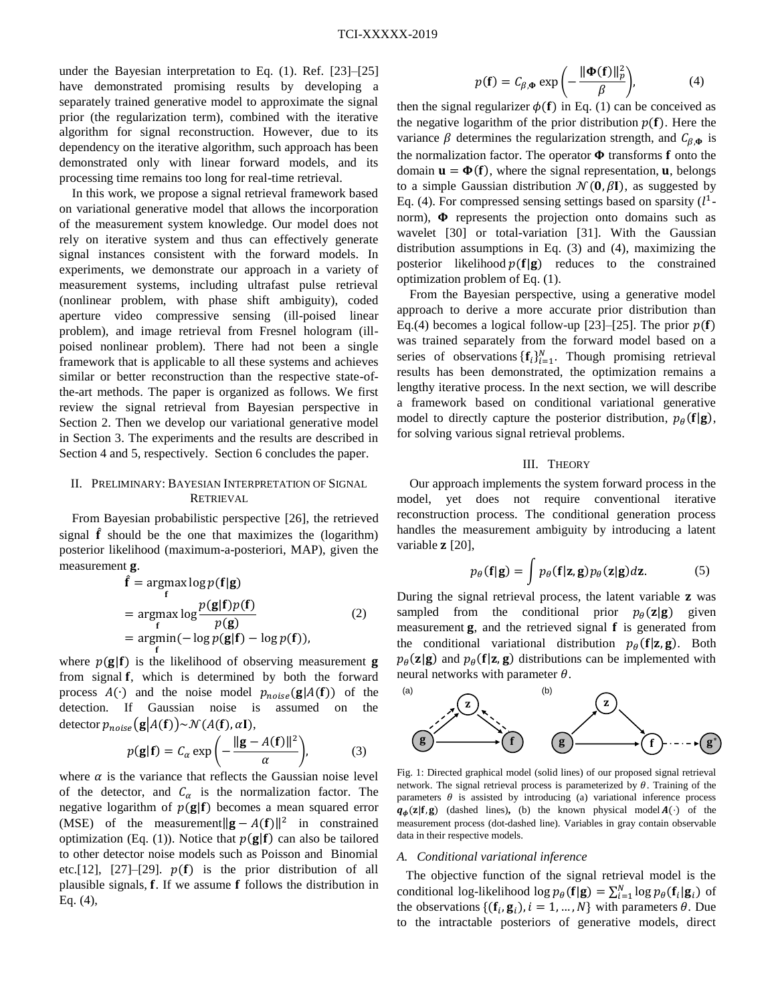under the Bayesian interpretation to Eq. (1). Ref. [23]–[25] have demonstrated promising results by developing a separately trained generative model to approximate the signal prior (the regularization term), combined with the iterative algorithm for signal reconstruction. However, due to its dependency on the iterative algorithm, such approach has been demonstrated only with linear forward models, and its processing time remains too long for real-time retrieval.

In this work, we propose a signal retrieval framework based on variational generative model that allows the incorporation of the measurement system knowledge. Our model does not rely on iterative system and thus can effectively generate signal instances consistent with the forward models. In experiments, we demonstrate our approach in a variety of measurement systems, including ultrafast pulse retrieval (nonlinear problem, with phase shift ambiguity), coded aperture video compressive sensing (ill-poised linear problem), and image retrieval from Fresnel hologram (illpoised nonlinear problem). There had not been a single framework that is applicable to all these systems and achieves similar or better reconstruction than the respective state-ofthe-art methods. The paper is organized as follows. We first review the signal retrieval from Bayesian perspective in Section 2. Then we develop our variational generative model in Section 3. The experiments and the results are described in Section 4 and 5, respectively. Section 6 concludes the paper.

## II. PRELIMINARY: BAYESIAN INTERPRETATION OF SIGNAL RETRIEVAL

From Bayesian probabilistic perspective [26], the retrieved signal  $\hat{f}$  should be the one that maximizes the (logarithm) posterior likelihood (maximum-a-posteriori, MAP), given the measurement **g**.

$$
\hat{\mathbf{f}} = \underset{\mathbf{f}}{\operatorname{argmax}} \log p(\mathbf{f}|\mathbf{g})
$$
\n
$$
= \underset{\mathbf{f}}{\operatorname{argmax}} \log \frac{p(\mathbf{g}|\mathbf{f})p(\mathbf{f})}{p(\mathbf{g})}
$$
\n
$$
= \underset{\mathbf{f}}{\operatorname{argmin}} (-\log p(\mathbf{g}|\mathbf{f}) - \log p(\mathbf{f})),
$$
\n(2)

where  $p(g|f)$  is the likelihood of observing measurement **g** from signal **f**, which is determined by both the forward process  $A(\cdot)$  and the noise model  $p_{noise}(\mathbf{g}|A(\mathbf{f}))$  of the detection. If Gaussian noise is assumed on the detector  $p_{noise}(\mathbf{g}|A(\mathbf{f})) \sim \mathcal{N}(A(\mathbf{f}), \alpha \mathbf{I}),$ 

$$
p(\mathbf{g}|\mathbf{f}) = C_{\alpha} \exp\left(-\frac{\|\mathbf{g} - A(\mathbf{f})\|^2}{\alpha}\right),\tag{3}
$$

where  $\alpha$  is the variance that reflects the Gaussian noise level of the detector, and  $C_{\alpha}$  is the normalization factor. The negative logarithm of  $p(g|f)$  becomes a mean squared error (MSE) of the measurement  $\|\mathbf{g} - A(f)\|^2$  in constrained optimization (Eq. (1)). Notice that  $p(g|f)$  can also be tailored to other detector noise models such as Poisson and Binomial etc.[12], [27]–[29].  $p(f)$  is the prior distribution of all plausible signals,  $f$ . If we assume  $f$  follows the distribution in Eq. [\(4\),](#page-1-0)

<span id="page-1-0"></span>
$$
p(\mathbf{f}) = C_{\beta, \Phi} \exp\left(-\frac{\|\Phi(\mathbf{f})\|_p^2}{\beta}\right),\tag{4}
$$

then the signal regularizer  $\phi(f)$  in Eq. (1) can be conceived as the negative logarithm of the prior distribution  $p(f)$ . Here the variance  $\beta$  determines the regularization strength, and  $C_{\beta,\Phi}$  is the normalization factor. The operator  $\Phi$  transforms **f** onto the domain  $\mathbf{u} = \mathbf{\Phi}(\mathbf{f})$ , where the signal representation, **u**, belongs to a simple Gaussian distribution  $\mathcal{N}(\mathbf{0}, \beta \mathbf{I})$ , as suggested by Eq. [\(4\).](#page-1-0) For compressed sensing settings based on sparsity  $(l^1$ norm),  $\Phi$  represents the projection onto domains such as wavelet [30] or total-variation [31]. With the Gaussian distribution assumptions in Eq. (3) and (4), maximizing the posterior likelihood  $p(f|g)$  reduces to the constrained optimization problem of Eq. (1).

From the Bayesian perspective, using a generative model approach to derive a more accurate prior distribution than Eq.(4) becomes a logical follow-up [23]–[25]. The prior  $p(f)$ was trained separately from the forward model based on a series of observations  $\{f_i\}_{i=1}^N$ . Though promising retrieval results has been demonstrated, the optimization remains a lengthy iterative process. In the next section, we will describe a framework based on conditional variational generative model to directly capture the posterior distribution,  $p_{\theta}({\bf f}|{\bf g})$ , for solving various signal retrieval problems.

## III. THEORY

Our approach implements the system forward process in the model, yet does not require conventional iterative reconstruction process. The conditional generation process handles the measurement ambiguity by introducing a latent variable  $z$  [20],

$$
p_{\theta}(\mathbf{f}|\mathbf{g}) = \int p_{\theta}(\mathbf{f}|\mathbf{z}, \mathbf{g}) p_{\theta}(\mathbf{z}|\mathbf{g}) d\mathbf{z}.
$$
 (5)

During the signal retrieval process, the latent variable **z** was sampled from the conditional prior  $p_{\theta}(z|g)$  given measurement  $g$ , and the retrieved signal  $f$  is generated from the conditional variational distribution  $p_{\theta}({\bf f}|{\bf z},{\bf g})$ . Both  $p_{\theta}(\mathbf{z}|\mathbf{g})$  and  $p_{\theta}(\mathbf{f}|\mathbf{z}, \mathbf{g})$  distributions can be implemented with neural networks with parameter  $\theta$ .



<span id="page-1-1"></span>Fig. 1: Directed graphical model (solid lines) of our proposed signal retrieval network. The signal retrieval process is parameterized by  $\theta$ . Training of the parameters  $\theta$  is assisted by introducing (a) variational inference process  $q_{\phi}(z|f, g)$  (dashed lines), (b) the known physical model  $A(\cdot)$  of the measurement process (dot-dashed line). Variables in gray contain observable data in their respective models. (a)<br>
(a)<br>
(g)<br>
Fig. 1: Directed graphical model (solid lines) of our proposed signal retrieval<br>
network. The signal retrieval process is parameterized by  $\theta$ . Training of the<br>
parameters  $\theta$  is assisted by introducing (

## *A. Conditional variational inference*

The objective function of the signal retrieval model is the conditional log-likelihood  $\log p_{\theta}(\mathbf{f}|\mathbf{g}) = \sum_{i=1}^{N} \log p_{\theta}(\mathbf{f}_i|\mathbf{g}_i)$  of the observations  $\{(\mathbf{f}_i, \mathbf{g}_i), i = 1, ..., N\}$  with parameters  $\theta$ . Due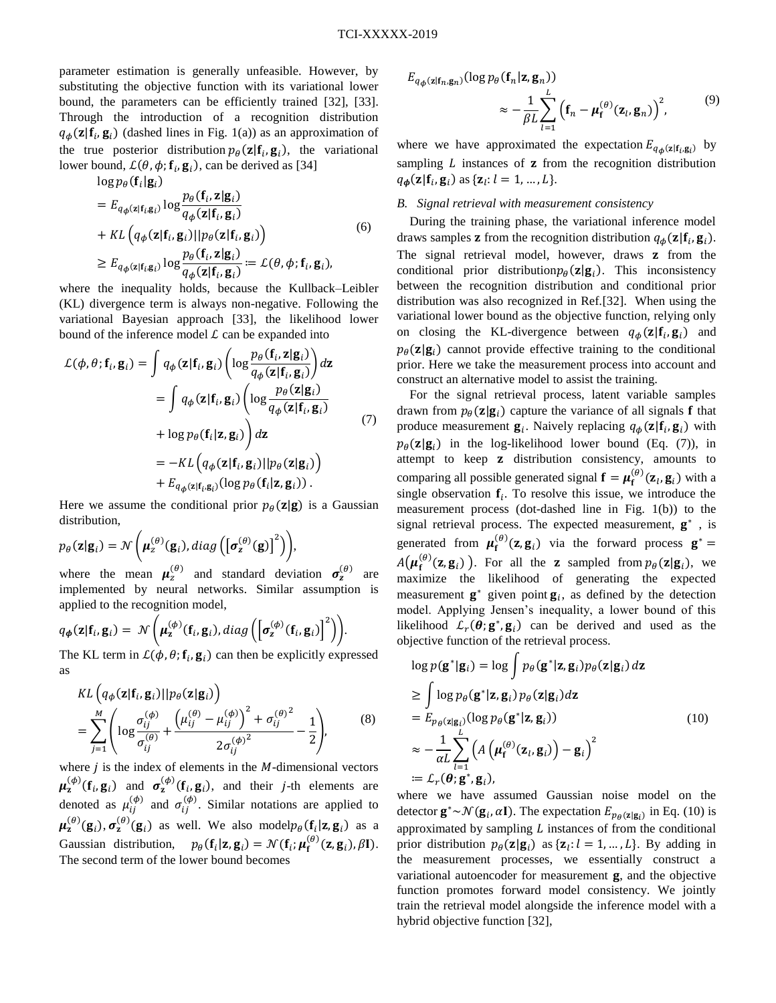parameter estimation is generally unfeasible. However, by substituting the objective function with its variational lower bound, the parameters can be efficiently trained [32], [33]. Through the introduction of a recognition distribution  $q_{\phi}(\mathbf{z}|\mathbf{f}_i, \mathbf{g}_i)$  (dashed lines in [Fig. 1\(](#page-1-1)a)) as an approximation of the true posterior distribution  $p_{\theta}(\mathbf{z}|\mathbf{f}_i, \mathbf{g}_i)$ , the variational lower bound,  $\mathcal{L}(\theta, \phi; \mathbf{f}_i, \mathbf{g}_i)$ , can be derived as [34]

 $\log p_\theta(\mathbf{f}_i | \mathbf{g}_i)$ 

$$
= E_{q_{\phi}(\mathbf{z}|\mathbf{f}_{i},\mathbf{g}_{i})} \log \frac{p_{\theta}(\mathbf{f}_{i}, \mathbf{z}|\mathbf{g}_{i})}{q_{\phi}(\mathbf{z}|\mathbf{f}_{i}, \mathbf{g}_{i})}
$$
  
+ 
$$
KL(q_{\phi}(\mathbf{z}|\mathbf{f}_{i}, \mathbf{g}_{i})||p_{\theta}(\mathbf{z}|\mathbf{f}_{i}, \mathbf{g}_{i}))
$$
  

$$
\geq E_{q_{\phi}(\mathbf{z}|\mathbf{f}_{i}, \mathbf{g}_{i})} \log \frac{p_{\theta}(\mathbf{f}_{i}, \mathbf{z}|\mathbf{g}_{i})}{q_{\phi}(\mathbf{z}|\mathbf{f}_{i}, \mathbf{g}_{i})} := \mathcal{L}(\theta, \phi; \mathbf{f}_{i}, \mathbf{g}_{i}),
$$
 (6)

where the inequality holds, because the Kullback–Leibler (KL) divergence term is always non-negative. Following the variational Bayesian approach [33], the likelihood lower bound of the inference model  $\mathcal L$  can be expanded into

$$
\mathcal{L}(\phi, \theta; \mathbf{f}_i, \mathbf{g}_i) = \int q_{\phi}(\mathbf{z} | \mathbf{f}_i, \mathbf{g}_i) \left( \log \frac{p_{\theta}(\mathbf{f}_i, \mathbf{z} | \mathbf{g}_i)}{q_{\phi}(\mathbf{z} | \mathbf{f}_i, \mathbf{g}_i)} \right) d\mathbf{z}
$$
  
\n
$$
= \int q_{\phi}(\mathbf{z} | \mathbf{f}_i, \mathbf{g}_i) \left( \log \frac{p_{\theta}(\mathbf{z} | \mathbf{g}_i)}{q_{\phi}(\mathbf{z} | \mathbf{f}_i, \mathbf{g}_i)} \right) d\mathbf{z}
$$
  
\n
$$
+ \log p_{\theta}(\mathbf{f}_i | \mathbf{z}, \mathbf{g}_i) \right) d\mathbf{z}
$$
  
\n
$$
= -KL \left( q_{\phi}(\mathbf{z} | \mathbf{f}_i, \mathbf{g}_i) || p_{\theta}(\mathbf{z} | \mathbf{g}_i) \right) + E_{q_{\phi}(\mathbf{z} | \mathbf{f}_i, \mathbf{g}_i)} (\log p_{\theta}(\mathbf{f}_i | \mathbf{z}, \mathbf{g}_i)).
$$
 (7)

Here we assume the conditional prior  $p_{\theta}(z|g)$  is a Gaussian distribution,

$$
p_{\theta}(\mathbf{z}|\mathbf{g}_i) = \mathcal{N}\bigg(\boldsymbol{\mu}_z^{(\theta)}(\mathbf{g}_i), diag\big(\big[\boldsymbol{\sigma}_z^{(\theta)}(\mathbf{g})\big]^2\big)\bigg),\,
$$

where the mean  $\mu_z^{(\theta)}$  and standard deviation  $\sigma_z^{(\theta)}$  are implemented by neural networks. Similar assumption is applied to the recognition model,

$$
q_{\boldsymbol{\phi}}(\mathbf{z}|\mathbf{f}_i, \mathbf{g}_i) = \mathcal{N}\left(\boldsymbol{\mu}_{\mathbf{z}}^{(\boldsymbol{\phi})}(\mathbf{f}_i, \mathbf{g}_i), diag\left(\left[\boldsymbol{\sigma}_{\mathbf{z}}^{(\boldsymbol{\phi})}(\mathbf{f}_i, \mathbf{g}_i)\right]^2\right)\right).
$$

The KL term in  $\mathcal{L}(\phi, \theta; \mathbf{f}_i, \mathbf{g}_i)$  can then be explicitly expressed as

$$
KL\left(q_{\phi}(\mathbf{z}|\mathbf{f}_{i}, \mathbf{g}_{i})||p_{\theta}(\mathbf{z}|\mathbf{g}_{i})\right)
$$
  
= 
$$
\sum_{j=1}^{M} \left(\log \frac{\sigma_{ij}^{(\phi)}}{\sigma_{ij}^{(\theta)}} + \frac{\left(\mu_{ij}^{(\theta)} - \mu_{ij}^{(\phi)}\right)^{2} + \sigma_{ij}^{(\theta)^{2}}}{2\sigma_{ij}^{(\phi)^{2}}} - \frac{1}{2}\right),
$$
 (8)

where  $j$  is the index of elements in the  $M$ -dimensional vectors  $\mu_{\mathbf{z}}^{(\phi)}(\mathbf{f}_i, \mathbf{g}_i)$  and  $\sigma_{\mathbf{z}}^{(\phi)}(\mathbf{f}_i, \mathbf{g}_i)$ , and their *j*-th elements are denoted as  $\mu_{ij}^{(\phi)}$  and  $\sigma_{ij}^{(\phi)}$ . Similar notations are applied to  $\mu_{\mathbf{z}}^{(\theta)}(\mathbf{g}_i), \sigma_{\mathbf{z}}^{(\theta)}(\mathbf{g}_i)$  as well. We also model $p_{\theta}(\mathbf{f}_i|\mathbf{z}, \mathbf{g}_i)$  as a Gaussian distribution,  $p_{\theta}(\mathbf{f}_i|\mathbf{z}, \mathbf{g}_i) = \mathcal{N}(\mathbf{f}_i; \boldsymbol{\mu}_f^{(\theta)}(\mathbf{z}, \mathbf{g}_i), \beta \mathbf{I}).$ The second term of the lower bound becomes

$$
E_{q_{\phi}(\mathbf{z}|\mathbf{f}_n,\mathbf{g}_n)}(\log p_{\theta}(\mathbf{f}_n|\mathbf{z},\mathbf{g}_n))
$$
  

$$
\approx -\frac{1}{\beta L} \sum_{l=1}^{L} (\mathbf{f}_n - \boldsymbol{\mu}_{\mathbf{f}}^{(\theta)}(\mathbf{z}_l,\mathbf{g}_n))^2, \qquad (9)
$$

where we have approximated the expectation  $E_{q_{\phi}(z|f_i, g_i)}$  by sampling  *instances of*  $*z*$  *from the recognition distribution*  $q_{\boldsymbol{\phi}}(\mathbf{z}|\mathbf{f}_i, \mathbf{g}_i)$  as  $\{\mathbf{z}_l : l = 1, ..., L\}.$ 

# *B. Signal retrieval with measurement consistency*

During the training phase, the variational inference model draws samples **z** from the recognition distribution  $q_{\phi}(\mathbf{z}|\mathbf{f}_i, \mathbf{g}_i)$ . The signal retrieval model, however, draws **z** from the conditional prior distribution  $p_{\theta}(\mathbf{z} | \mathbf{g}_i)$ . This inconsistency between the recognition distribution and conditional prior distribution was also recognized in Ref.[32]. When using the variational lower bound as the objective function, relying only on closing the KL-divergence between  $q_{\phi}(\mathbf{z}|\mathbf{f}_i, \mathbf{g}_i)$  and  $p_{\theta}(\mathbf{z}|\mathbf{g}_i)$  cannot provide effective training to the conditional prior. Here we take the measurement process into account and construct an alternative model to assist the training.

For the signal retrieval process, latent variable samples drawn from  $p_{\theta}(\mathbf{z}|\mathbf{g}_i)$  capture the variance of all signals **f** that produce measurement  $\mathbf{g}_i$ . Naively replacing  $q_{\phi}(\mathbf{z}|\mathbf{f}_i, \mathbf{g}_i)$  with  $p_{\theta}(\mathbf{z}|\mathbf{g}_i)$  in the log-likelihood lower bound (Eq. (7)), in attempt to keep **z** distribution consistency, amounts to comparing all possible generated signal  $f = \mu_f^{(\theta)}(z_l, g_i)$  with a single observation  $f_i$ . To resolve this issue, we introduce the measurement process (dot-dashed line in [Fig. 1\(](#page-1-1)b)) to the signal retrieval process. The expected measurement,  $g^*$ , is generated from  $\mu_f^{(\theta)}(z, g_i)$  via the forward process  $g^* =$  $A(\boldsymbol{\mu}_{\mathbf{f}}^{(\theta)}(\mathbf{z}, \mathbf{g}_i))$ . For all the **z** sampled from  $p_{\theta}(\mathbf{z} | \mathbf{g}_i)$ , we maximize the likelihood of generating the expected measurement  $\mathbf{g}^*$  given point  $\mathbf{g}_i$ , as defined by the detection model. Applying Jensen's inequality, a lower bound of this likelihood  $\mathcal{L}_r(\theta; \mathbf{g}^*, \mathbf{g}_i)$  can be derived and used as the objective function of the retrieval process.

<span id="page-2-0"></span>
$$
\log p(\mathbf{g}^*|\mathbf{g}_i) = \log \int p_{\theta}(\mathbf{g}^*|\mathbf{z}, \mathbf{g}_i) p_{\theta}(\mathbf{z}|\mathbf{g}_i) d\mathbf{z}
$$
  
\n
$$
\geq \int \log p_{\theta}(\mathbf{g}^*|\mathbf{z}, \mathbf{g}_i) p_{\theta}(\mathbf{z}|\mathbf{g}_i) d\mathbf{z}
$$
  
\n
$$
= E_{p_{\theta}(\mathbf{z}|\mathbf{g}_i)}(\log p_{\theta}(\mathbf{g}^*|\mathbf{z}, \mathbf{g}_i))
$$
(10)  
\n
$$
\approx -\frac{1}{\alpha L} \sum_{l=1}^{L} \left( A\left(\boldsymbol{\mu}_l^{(\theta)}(\mathbf{z}_l, \mathbf{g}_i)\right) - \mathbf{g}_i \right)^2
$$
  
\n
$$
= \mathcal{L}_r(\boldsymbol{\theta}; \mathbf{g}^*, \mathbf{g}_i),
$$

where we have assumed Gaussian noise model on the detector  $\mathbf{g}^* \sim \mathcal{N}(\mathbf{g}_i, \alpha \mathbf{I})$ . The expectation  $E_{p_\theta(\mathbf{z}|\mathbf{g}_i)}$  in Eq. [\(10\)](#page-2-0) is approximated by sampling  $L$  instances of from the conditional prior distribution  $p_{\theta}(\mathbf{z}|\mathbf{g}_i)$  as  $\{\mathbf{z}_l: l = 1, ..., L\}$ . By adding in the measurement processes, we essentially construct a variational autoencoder for measurement  $g$ , and the objective function promotes forward model consistency. We jointly train the retrieval model alongside the inference model with a hybrid objective function [32],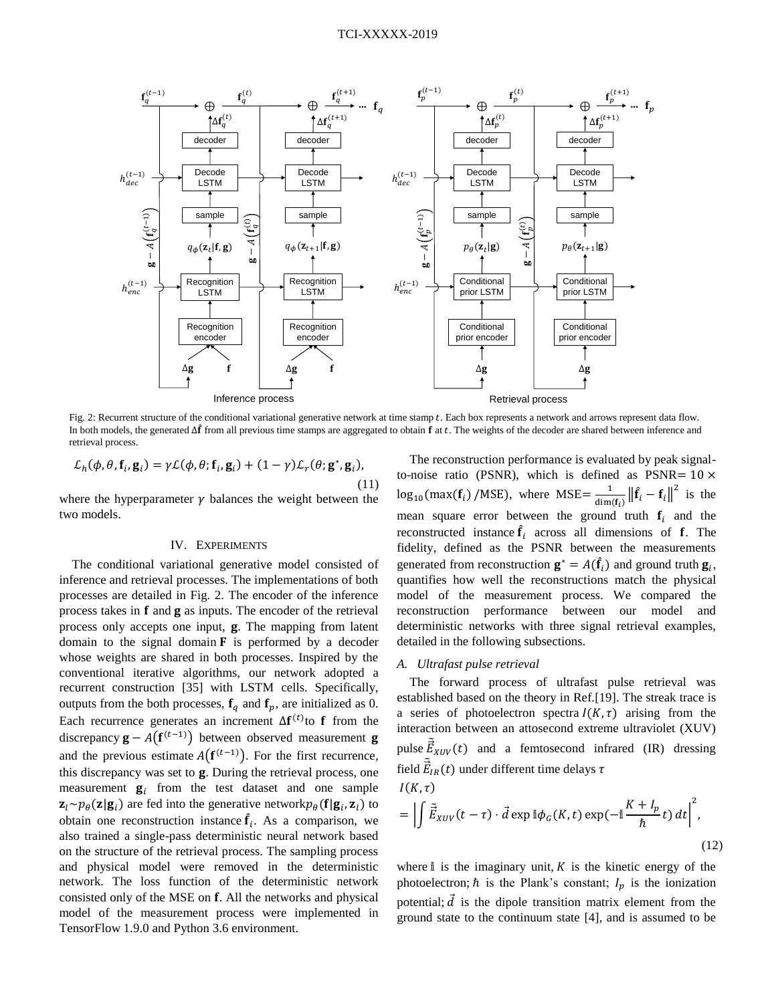

<span id="page-3-0"></span>Fig. 2: Recurrent structure of the conditional variational generative network at time stamp t. Each box represents a network and arrows represent data flow. In both models, the generated  $\Delta \hat{f}$  from all previous time stamps are aggregated to obtain  $\hat{f}$  at t. The weights of the decoder are shared between inference and retrieval process.

$$
\mathcal{L}_h(\phi, \theta, \mathbf{f}_i, \mathbf{g}_i) = \gamma \mathcal{L}(\phi, \theta; \mathbf{f}_i, \mathbf{g}_i) + (1 - \gamma) \mathcal{L}_r(\theta; \mathbf{g}^*, \mathbf{g}_i),
$$
\n(11)

where the hyperparameter  $\gamma$  balances the weight between the two models.

# IV. EXPERIMENTS

The conditional variational generative model consisted of inference and retrieval processes. The implementations of both processes are detailed in [Fig. 2.](#page-3-0) The encoder of the inference process takes in  $f$  and  $g$  as inputs. The encoder of the retrieval process only accepts one input,  $g$ . The mapping from latent domain to the signal domain  $\bf{F}$  is performed by a decoder whose weights are shared in both processes. Inspired by the conventional iterative algorithms, our network adopted a recurrent construction [35] with LSTM cells. Specifically, outputs from the both processes,  $f_a$  and  $f_p$ , are initialized as 0. Each recurrence generates an increment  $\Delta f^{(t)}$  to f from the discrepancy  $\mathbf{g} - A(\mathbf{f}^{(t-1)})$  between observed measurement **g** and the previous estimate  $A(f^{(t-1)})$ . For the first recurrence, this discrepancy was set to g. During the retrieval process, one measurement  $\mathbf{g}_i$  from the test dataset and one sample  $\mathbf{z}_l \sim p_\theta(\mathbf{z} | \mathbf{g}_i)$  are fed into the generative network $p_\theta(\mathbf{f} | \mathbf{g}_i, \mathbf{z}_l)$  to obtain one reconstruction instance  $\hat{f}_i$ . As a comparison, we also trained a single-pass deterministic neural network based on the structure of the retrieval process. The sampling process and physical model were removed in the deterministic network. The loss function of the deterministic network consisted only of the MSE on f. All the networks and physical model of the measurement process were implemented in TensorFlow 1.9.0 and Python 3.6 environment.

The reconstruction performance is evaluated by peak signalto-noise ratio (PSNR), which is defined as  $PSNR = 10 \times$  $\log_{10}(\text{max}(\mathbf{f}_i) / \text{MSE})$ , where  $\text{MSE} = \frac{1}{\text{dim}}$  $\frac{1}{\dim(f_i)} \left\| \hat{f}_i - f_i \right\|^2$  is the mean square error between the ground truth  $f_i$  and the reconstructed instance  $\hat{f}_i$  across all dimensions of **f**. The fidelity, defined as the PSNR between the measurements generated from reconstruction  $\mathbf{g}^* = A(\hat{\mathbf{f}}_i)$  and ground truth  $\mathbf{g}_i$ , quantifies how well the reconstructions match the physical model of the measurement process. We compared the reconstruction performance between our model and deterministic networks with three signal retrieval examples, detailed in the following subsections.

#### *A. Ultrafast pulse retrieval*

The forward process of ultrafast pulse retrieval was established based on the theory in Ref.[19]. The streak trace is a series of photoelectron spectra  $I(K, \tau)$  arising from the interaction between an attosecond extreme ultraviolet (XUV) pulse  $\tilde{\vec{E}}_{XUV}(t)$  and a femtosecond infrared (IR) dressing field  $\tilde{\vec{E}}_{IR}(t)$  under different time delays  $\tau$ 

$$
I(K,\tau)
$$
  
=  $\left| \int \tilde{E}_{XUV}(t-\tau) \cdot \vec{d} \exp \mathbb{i} \phi_G(K,t) \exp(-\mathbb{i} \frac{K+I_p}{\hbar} t) dt \right|^2$ , (12)

where  $\mathbb{I}$  is the imaginary unit,  $K$  is the kinetic energy of the photoelectron;  $\hbar$  is the Plank's constant;  $I_p$  is the ionization potential;  $\vec{d}$  is the dipole transition matrix element from the ground state to the continuum state [4], and is assumed to be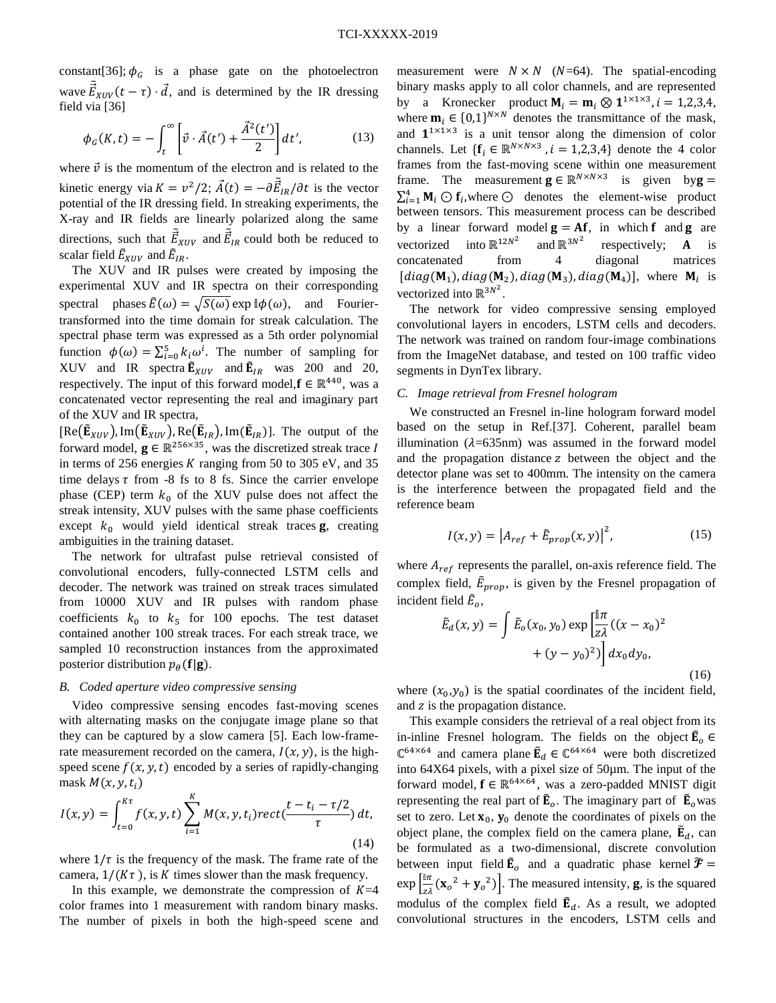constant[36];  $\phi_G$  is a phase gate on the photoelectron wave  $\tilde{E}_{XUV}(t-\tau) \cdot \vec{d}$ , and is determined by the IR dressing field via [36]

$$
\phi_G(K,t) = -\int_t^{\infty} \left[ \vec{v} \cdot \vec{A}(t') + \frac{\vec{A}^2(t')}{2} \right] dt',\tag{13}
$$

where  $\vec{v}$  is the momentum of the electron and is related to the kinetic energy via  $K = v^2/2$ ;  $\vec{A}(t) = -\partial \vec{E}_{IR}/\partial t$  is the vector potential of the IR dressing field. In streaking experiments, the X-ray and IR fields are linearly polarized along the same directions, such that  $\vec{\tilde{E}}_{XUV}$  and  $\vec{\tilde{E}}_{IR}$  could both be reduced to scalar field  $\tilde{E}_{XUV}$  and  $\tilde{E}_{IR}$ .

The XUV and IR pulses were created by imposing the experimental XUV and IR spectra on their corresponding spectral phases  $\tilde{E}(\omega) = \sqrt{S(\omega)} \exp i\phi(\omega)$ , and Fouriertransformed into the time domain for streak calculation. The spectral phase term was expressed as a 5th order polynomial function  $\phi(\omega) = \sum_{i=0}^{5} k_i \omega^i$ . The number of sampling for XUV and IR spectra  $\tilde{\mathbf{E}}_{XUV}$  and  $\tilde{\mathbf{E}}_{IR}$  was 200 and 20, respectively. The input of this forward model,  $f \in \mathbb{R}^{440}$ , was a concatenated vector representing the real and imaginary part of the XUV and IR spectra,

 $[Re(\tilde{\mathbf{E}}_{XUV}), Im(\tilde{\mathbf{E}}_{XUV}), Re(\tilde{\mathbf{E}}_{IR}), Im(\tilde{\mathbf{E}}_{IR})]$ . The output of the forward model,  $\mathbf{g} \in \mathbb{R}^{256 \times 35}$ , was the discretized streak trace I in terms of 256 energies  $K$  ranging from 50 to 305 eV, and 35 time delays  $\tau$  from -8 fs to 8 fs. Since the carrier envelope phase (CEP) term  $k_0$  of the XUV pulse does not affect the streak intensity, XUV pulses with the same phase coefficients except  $k_0$  would yield identical streak traces **g**, creating ambiguities in the training dataset.

The network for ultrafast pulse retrieval consisted of convolutional encoders, fully-connected LSTM cells and decoder. The network was trained on streak traces simulated from 10000 XUV and IR pulses with random phase coefficients  $k_0$  to  $k_5$  for 100 epochs. The test dataset contained another 100 streak traces. For each streak trace, we sampled 10 reconstruction instances from the approximated posterior distribution  $p_{\theta}({\bf f}|{\bf g})$ .

### *B. Coded aperture video compressive sensing*

Video compressive sensing encodes fast-moving scenes with alternating masks on the conjugate image plane so that they can be captured by a slow camera [5]. Each low-framerate measurement recorded on the camera,  $I(x, y)$ , is the highspeed scene  $f(x, y, t)$  encoded by a series of rapidly-changing mask  $M(x, y, t_i)$ 

$$
I(x,y) = \int_{t=0}^{K\tau} f(x,y,t) \sum_{i=1}^{K} M(x,y,t_i) rect(\frac{t-t_i - \tau/2}{\tau}) dt,
$$
\n(14)

where  $1/\tau$  is the frequency of the mask. The frame rate of the camera,  $1/(K\tau)$ , is K times slower than the mask frequency.

In this example, we demonstrate the compression of  $K=4$ color frames into 1 measurement with random binary masks. The number of pixels in both the high-speed scene and measurement were  $N \times N$  (N=64). The spatial-encoding binary masks apply to all color channels, and are represented by a Kronecker product  $M_i = m_i \otimes 1^{1 \times 1 \times 3}$ ,  $i = 1,2,3,4$ , where  $\mathbf{m}_i \in \{0,1\}^{N \times N}$  denotes the transmittance of the mask, and  $1^{1\times1\times3}$  is a unit tensor along the dimension of color channels. Let  $\{f_i \in \mathbb{R}^{N \times N \times 3}$ ,  $i = 1,2,3,4\}$  denote the 4 color frames from the fast-moving scene within one measurement frame. The measurement  $\mathbf{g} \in \mathbb{R}^{N \times N \times 3}$  is given by  $\mathbf{g} =$  $\sum_{i=1}^{4} M_i \bigodot f_i$ , where  $\bigodot$  denotes the element-wise product between tensors. This measurement process can be described by a linear forward model  $g = Af$ , in which f and g are vectorized  $12N^2$  and  $\mathbb{R}^{3N^2}$ respectively;  $\bf{A}$  is concatenated from 4 diagonal matrices [diag( $M_1$ ), diag( $M_2$ ), diag( $M_3$ ), diag( $M_4$ )], where  $M_i$  is vectorized into  $\mathbb{R}^{3N^2}$ .

The network for video compressive sensing employed convolutional layers in encoders, LSTM cells and decoders. The network was trained on random four-image combinations from the ImageNet database, and tested on 100 traffic video segments in DynTex library.

## *C. Image retrieval from Fresnel hologram*

We constructed an Fresnel in-line hologram forward model based on the setup in Ref.[37]. Coherent, parallel beam illumination ( $\lambda$ =635nm) was assumed in the forward model and the propagation distance  $z$  between the object and the detector plane was set to 400mm. The intensity on the camera is the interference between the propagated field and the reference beam

$$
I(x, y) = \left| A_{ref} + \tilde{E}_{prop}(x, y) \right|^2, \tag{15}
$$

where  $A_{ref}$  represents the parallel, on-axis reference field. The complex field,  $\tilde{E}_{prop}$ , is given by the Fresnel propagation of incident field  $\tilde{E}_o$ ,

$$
\tilde{E}_d(x, y) = \int \tilde{E}_o(x_0, y_0) \exp\left[\frac{\mathbb{I}\pi}{z\lambda}((x - x_0)^2 + (y - y_0)^2)\right] dx_0 dy_0,
$$
\n(16)

where  $(x_0, y_0)$  is the spatial coordinates of the incident field, and z is the propagation distance.

This example considers the retrieval of a real object from its in-inline Fresnel hologram. The fields on the object  $\tilde{E}_{o} \in$  $\mathbb{C}^{64\times64}$  and camera plane  $\mathbf{\tilde{E}}_d \in \mathbb{C}^{64\times64}$  were both discretized into 64X64 pixels, with a pixel size of 50µm. The input of the forward model,  $f \in \mathbb{R}^{64 \times 64}$ , was a zero-padded MNIST digit representing the real part of  $\tilde{E}_o$ . The imaginary part of  $\tilde{E}_o$  was set to zero. Let  $x_0$ ,  $y_0$  denote the coordinates of pixels on the object plane, the complex field on the camera plane,  $\tilde{E}_d$ , can be formulated as a two-dimensional, discrete convolution between input field  $\tilde{E}_o$  and a quadratic phase kernel  $\tilde{\mathcal{F}} =$  $\exp\left[\frac{\ln \pi}{2}\right]$  $\left[\frac{1}{\alpha\lambda}(\mathbf{x}_o^2 + \mathbf{y}_o^2)\right]$ . The measured intensity, **g**, is the squared modulus of the complex field  $\tilde{E}_d$ . As a result, we adopted convolutional structures in the encoders, LSTM cells and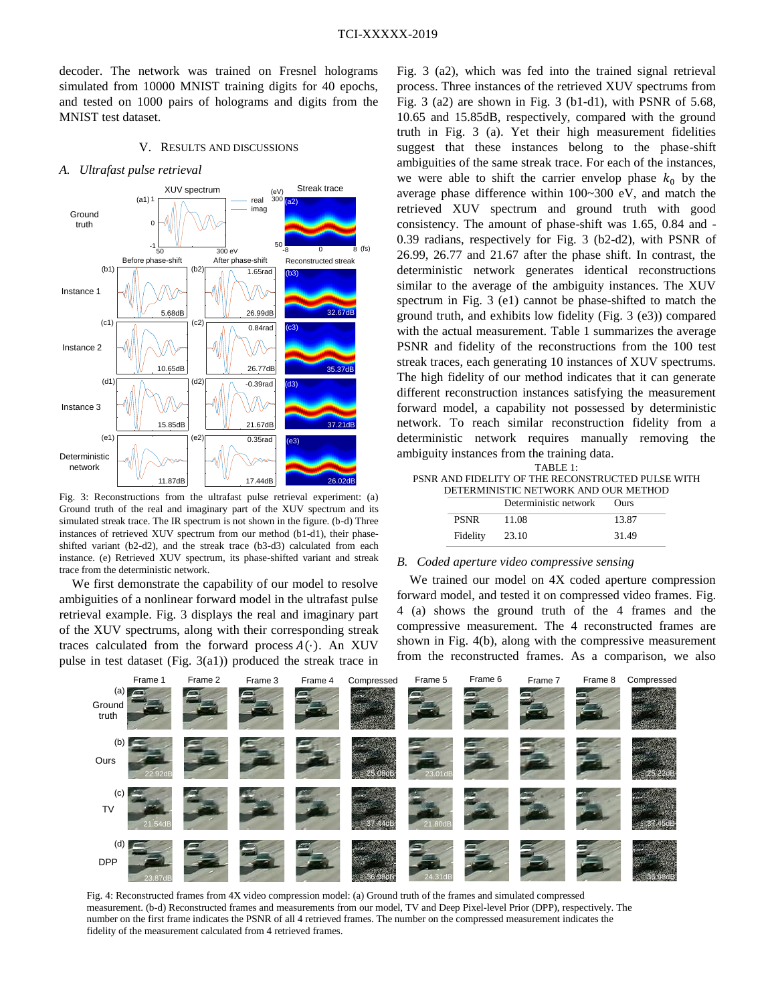decoder. The network was trained on Fresnel holograms simulated from 10000 MNIST training digits for 40 epochs, and tested on 1000 pairs of holograms and digits from the MNIST test dataset.

#### V. RESULTS AND DISCUSSIONS

#### *A. Ultrafast pulse retrieval*



<span id="page-5-0"></span>Fig. 3: Reconstructions from the ultrafast pulse retrieval experiment: (a) Ground truth of the real and imaginary part of the XUV spectrum and its simulated streak trace. The IR spectrum is not shown in the figure. (b-d) Three instances of retrieved XUV spectrum from our method (b1-d1), their phaseshifted variant (b2-d2), and the streak trace (b3-d3) calculated from each instance. (e) Retrieved XUV spectrum, its phase-shifted variant and streak trace from the deterministic network.

We first demonstrate the capability of our model to resolve ambiguities of a nonlinear forward model in the ultrafast pulse retrieval example. [Fig. 3](#page-5-0) displays the real and imaginary part of the XUV spectrums, along with their corresponding streak traces calculated from the forward process  $A(\cdot)$ . An XUV pulse in test dataset [\(Fig. 3\(](#page-5-0)a1)) produced the streak trace in [Fig. 3](#page-5-0) (a2), which was fed into the trained signal retrieval process. Three instances of the retrieved XUV spectrums from [Fig. 3](#page-5-0) (a2) are shown in [Fig. 3](#page-5-0) (b1-d1), with PSNR of 5.68, 10.65 and 15.85dB, respectively, compared with the ground truth in [Fig. 3](#page-5-0) (a). Yet their high measurement fidelities suggest that these instances belong to the phase-shift ambiguities of the same streak trace. For each of the instances, we were able to shift the carrier envelop phase  $k_0$  by the average phase difference within 100~300 eV, and match the retrieved XUV spectrum and ground truth with good consistency. The amount of phase-shift was 1.65, 0.84 and - 0.39 radians, respectively for [Fig. 3](#page-5-0) (b2-d2), with PSNR of 26.99, 26.77 and 21.67 after the phase shift. In contrast, the deterministic network generates identical reconstructions similar to the average of the ambiguity instances. The XUV spectrum in [Fig. 3](#page-5-0) (e1) cannot be phase-shifted to match the ground truth, and exhibits low fidelity [\(Fig. 3](#page-5-0) (e3)) compared with the actual measurement. Table 1 summarizes the average PSNR and fidelity of the reconstructions from the 100 test streak traces, each generating 10 instances of XUV spectrums. The high fidelity of our method indicates that it can generate different reconstruction instances satisfying the measurement forward model, a capability not possessed by deterministic network. To reach similar reconstruction fidelity from a deterministic network requires manually removing the ambiguity instances from the training data.

|  | .                                                 | .           |  |
|--|---------------------------------------------------|-------------|--|
|  | Deterministic network                             | <b>Ours</b> |  |
|  | DETERMINISTIC NETWORK AND OUR METHOD              |             |  |
|  | PSNR AND FIDELITY OF THE RECONSTRUCTED PULSE WITH |             |  |
|  | TABLE 1:                                          |             |  |
|  | 015an, modano o nom dio adminis additi            |             |  |

| <b>PSNR</b> | 11.08 | 13.87 |
|-------------|-------|-------|
| Fidelity    | 23.10 | 31.49 |

## *B. Coded aperture video compressive sensing*

We trained our model on 4X coded aperture compression forward model, and tested it on compressed video frames. [Fig.](#page-5-1) [4](#page-5-1) (a) shows the ground truth of the 4 frames and the compressive measurement. The 4 reconstructed frames are shown in [Fig.](#page-5-1) 4(b), along with the compressive measurement from the reconstructed frames. As a comparison, we also



<span id="page-5-1"></span>Fig. 4: Reconstructed frames from 4X video compression model: (a) Ground truth of the frames and simulated compressed measurement. (b-d) Reconstructed frames and measurements from our model, TV and Deep Pixel-level Prior (DPP), respectively. The number on the first frame indicates the PSNR of all 4 retrieved frames. The number on the compressed measurement indicates the fidelity of the measurement calculated from 4 retrieved frames.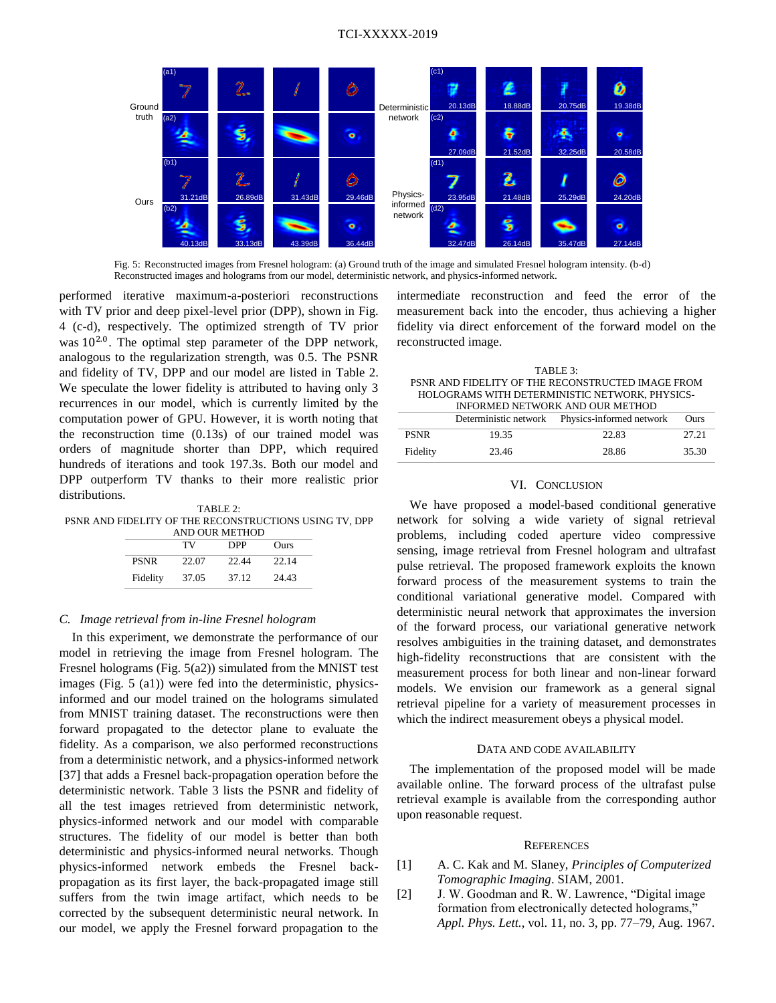

Fig. 5: Reconstructed images from Fresnel hologram: (a) Ground truth of the image and simulated Fresnel hologram intensity. (b-d) Reconstructed images and holograms from our model, deterministic network, and physics-informed network.

performed iterative maximum-a-posteriori reconstructions with TV prior and deep pixel-level prior (DPP), shown in [Fig.](#page-5-1) [4](#page-5-1) (c-d), respectively. The optimized strength of TV prior was  $10^{2.0}$ . The optimal step parameter of the DPP network, analogous to the regularization strength, was 0.5. The PSNR and fidelity of TV, DPP and our model are listed in Table 2. We speculate the lower fidelity is attributed to having only 3 recurrences in our model, which is currently limited by the computation power of GPU. However, it is worth noting that the reconstruction time (0.13s) of our trained model was orders of magnitude shorter than DPP, which required hundreds of iterations and took 197.3s. Both our model and DPP outperform TV thanks to their more realistic prior distributions.

TABLE 2: PSNR AND FIDELITY OF THE RECONSTRUCTIONS USING TV, DPP AND OUR METHOD

|             | TV    | DPP   | Ours  |
|-------------|-------|-------|-------|
| <b>PSNR</b> | 22.07 | 22.44 | 22.14 |
| Fidelity    | 37.05 | 37.12 | 24.43 |

## *C. Image retrieval from in-line Fresnel hologram*

In this experiment, we demonstrate the performance of our model in retrieving the image from Fresnel hologram. The Fresnel holograms (Fig. 5(a2)) simulated from the MNIST test images (Fig. 5 (a1)) were fed into the deterministic, physicsinformed and our model trained on the holograms simulated from MNIST training dataset. The reconstructions were then forward propagated to the detector plane to evaluate the fidelity. As a comparison, we also performed reconstructions from a deterministic network, and a physics-informed network [37] that adds a Fresnel back-propagation operation before the deterministic network. Table 3 lists the PSNR and fidelity of all the test images retrieved from deterministic network, physics-informed network and our model with comparable structures. The fidelity of our model is better than both deterministic and physics-informed neural networks. Though physics-informed network embeds the Fresnel backpropagation as its first layer, the back-propagated image still suffers from the twin image artifact, which needs to be corrected by the subsequent deterministic neural network. In our model, we apply the Fresnel forward propagation to the

intermediate reconstruction and feed the error of the measurement back into the encoder, thus achieving a higher fidelity via direct enforcement of the forward model on the reconstructed image.

| TARI E 3:                                         |
|---------------------------------------------------|
| PSNR AND FIDELITY OF THE RECONSTRUCTED IMAGE FROM |
| HOLOGRAMS WITH DETERMINISTIC NETWORK, PHYSICS-    |
| INFORMED NETWORK AND OUR METHOD                   |

|             | <u>hy onmed nei wonn hijd och method</u><br>Deterministic network Physics-informed network<br>Ours |       |       |  |  |
|-------------|----------------------------------------------------------------------------------------------------|-------|-------|--|--|
|             |                                                                                                    |       |       |  |  |
| <b>PSNR</b> | 19.35                                                                                              | 22.83 | 27.21 |  |  |
| Fidelity    | 23.46                                                                                              | 28.86 | 35.30 |  |  |

# VI. CONCLUSION

We have proposed a model-based conditional generative network for solving a wide variety of signal retrieval problems, including coded aperture video compressive sensing, image retrieval from Fresnel hologram and ultrafast pulse retrieval. The proposed framework exploits the known forward process of the measurement systems to train the conditional variational generative model. Compared with deterministic neural network that approximates the inversion of the forward process, our variational generative network resolves ambiguities in the training dataset, and demonstrates high-fidelity reconstructions that are consistent with the measurement process for both linear and non-linear forward models. We envision our framework as a general signal retrieval pipeline for a variety of measurement processes in which the indirect measurement obeys a physical model.

## DATA AND CODE AVAILABILITY

The implementation of the proposed model will be made available online. The forward process of the ultrafast pulse retrieval example is available from the corresponding author upon reasonable request.

#### **REFERENCES**

- [1] A. C. Kak and M. Slaney, *Principles of Computerized Tomographic Imaging*. SIAM, 2001.
- [2] J. W. Goodman and R. W. Lawrence, "Digital image formation from electronically detected holograms, *Appl. Phys. Lett.*, vol. 11, no. 3, pp. 77–79, Aug. 1967.